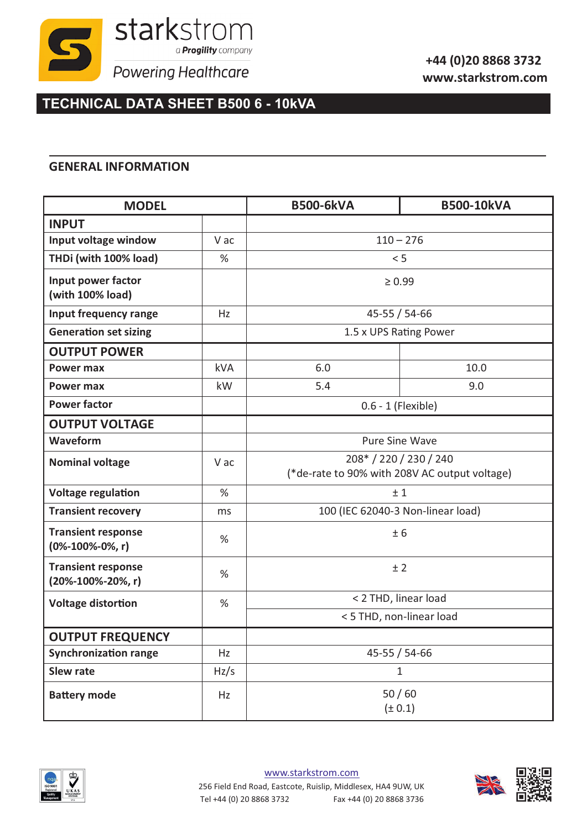

## **TECHNICAL DATA SHEET B500 6 - 10kVA**

## **GENERAL INFORMATION**

| <b>MODEL</b>                                           |            | <b>B500-6kVA</b>         | <b>B500-10kVA</b>                                                       |  |
|--------------------------------------------------------|------------|--------------------------|-------------------------------------------------------------------------|--|
| <b>INPUT</b>                                           |            |                          |                                                                         |  |
| Input voltage window                                   | V ac       |                          | $110 - 276$                                                             |  |
| THDi (with 100% load)                                  | %          |                          | < 5                                                                     |  |
| Input power factor<br>(with 100% load)                 |            |                          | $\geq 0.99$                                                             |  |
| Input frequency range                                  | Hz         |                          | 45-55 / 54-66                                                           |  |
| <b>Generation set sizing</b>                           |            |                          | 1.5 x UPS Rating Power                                                  |  |
| <b>OUTPUT POWER</b>                                    |            |                          |                                                                         |  |
| <b>Power max</b>                                       | <b>kVA</b> | 6.0                      | 10.0                                                                    |  |
| <b>Power max</b>                                       | kW         | 5.4                      | 9.0                                                                     |  |
| <b>Power factor</b>                                    |            |                          | 0.6 - 1 (Flexible)                                                      |  |
| <b>OUTPUT VOLTAGE</b>                                  |            |                          |                                                                         |  |
| Waveform                                               |            |                          | <b>Pure Sine Wave</b>                                                   |  |
| <b>Nominal voltage</b>                                 | V ac       |                          | 208* / 220 / 230 / 240<br>(*de-rate to 90% with 208V AC output voltage) |  |
| <b>Voltage regulation</b>                              | %          |                          | ±1                                                                      |  |
| <b>Transient recovery</b>                              | ms         |                          | 100 (IEC 62040-3 Non-linear load)                                       |  |
| <b>Transient response</b><br>$(0\% - 100\% - 0\% , r)$ | %          |                          | ± 6                                                                     |  |
| <b>Transient response</b><br>(20%-100%-20%, r)         | %          |                          | ±2                                                                      |  |
| <b>Voltage distortion</b>                              | $\%$       | < 2 THD, linear load     |                                                                         |  |
|                                                        |            | < 5 THD, non-linear load |                                                                         |  |
| <b>OUTPUT FREQUENCY</b>                                |            |                          |                                                                         |  |
| <b>Synchronization range</b>                           | Hz         |                          | 45-55 / 54-66                                                           |  |
| <b>Slew rate</b>                                       | Hz/s       |                          | $\mathbf{1}$                                                            |  |
| <b>Battery mode</b>                                    | Hz         |                          | 50/60<br>(± 0.1)                                                        |  |



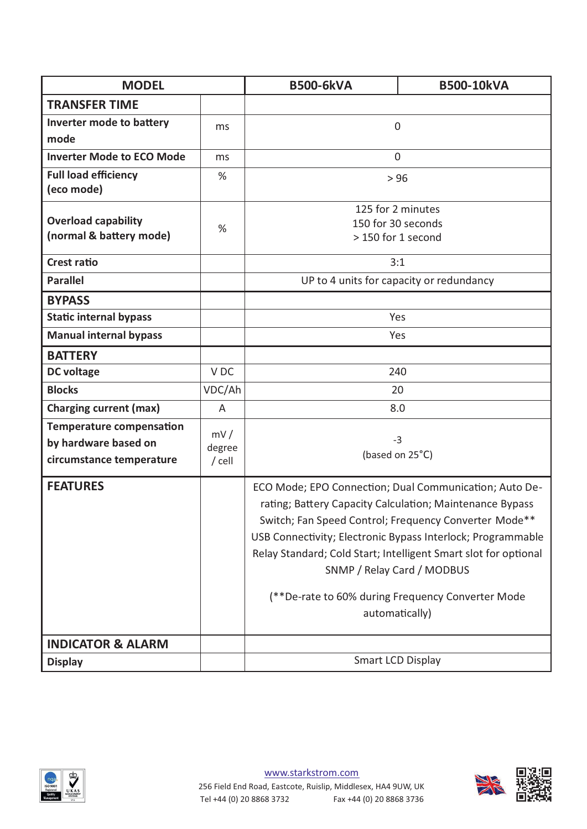| <b>MODEL</b>                                                                        |                           | <b>B500-6kVA</b>                                                                                                                                                                                                                                                                                                                                                                                                   | <b>B500-10kVA</b> |
|-------------------------------------------------------------------------------------|---------------------------|--------------------------------------------------------------------------------------------------------------------------------------------------------------------------------------------------------------------------------------------------------------------------------------------------------------------------------------------------------------------------------------------------------------------|-------------------|
| <b>TRANSFER TIME</b>                                                                |                           |                                                                                                                                                                                                                                                                                                                                                                                                                    |                   |
| Inverter mode to battery<br>mode                                                    | ms                        | $\mathbf 0$                                                                                                                                                                                                                                                                                                                                                                                                        |                   |
| <b>Inverter Mode to ECO Mode</b>                                                    | ms                        | $\overline{0}$                                                                                                                                                                                                                                                                                                                                                                                                     |                   |
| <b>Full load efficiency</b><br>(eco mode)                                           | %                         | > 96                                                                                                                                                                                                                                                                                                                                                                                                               |                   |
| <b>Overload capability</b><br>(normal & battery mode)                               | %                         | 125 for 2 minutes<br>150 for 30 seconds<br>> 150 for 1 second                                                                                                                                                                                                                                                                                                                                                      |                   |
| <b>Crest ratio</b>                                                                  |                           | 3:1                                                                                                                                                                                                                                                                                                                                                                                                                |                   |
| <b>Parallel</b>                                                                     |                           | UP to 4 units for capacity or redundancy                                                                                                                                                                                                                                                                                                                                                                           |                   |
| <b>BYPASS</b>                                                                       |                           |                                                                                                                                                                                                                                                                                                                                                                                                                    |                   |
| <b>Static internal bypass</b>                                                       |                           | Yes                                                                                                                                                                                                                                                                                                                                                                                                                |                   |
| <b>Manual internal bypass</b>                                                       |                           | Yes                                                                                                                                                                                                                                                                                                                                                                                                                |                   |
| <b>BATTERY</b>                                                                      |                           |                                                                                                                                                                                                                                                                                                                                                                                                                    |                   |
| <b>DC</b> voltage                                                                   | V <sub>DC</sub>           | 240                                                                                                                                                                                                                                                                                                                                                                                                                |                   |
| <b>Blocks</b>                                                                       | VDC/Ah                    | 20                                                                                                                                                                                                                                                                                                                                                                                                                 |                   |
| <b>Charging current (max)</b>                                                       | A                         | 8.0                                                                                                                                                                                                                                                                                                                                                                                                                |                   |
| <b>Temperature compensation</b><br>by hardware based on<br>circumstance temperature | mV/<br>degree<br>$/$ cell | $-3$<br>(based on 25°C)                                                                                                                                                                                                                                                                                                                                                                                            |                   |
| <b>FEATURES</b>                                                                     |                           | ECO Mode; EPO Connection; Dual Communication; Auto De-<br>rating; Battery Capacity Calculation; Maintenance Bypass<br>Switch; Fan Speed Control; Frequency Converter Mode**<br>USB Connectivity; Electronic Bypass Interlock; Programmable<br>Relay Standard; Cold Start; Intelligent Smart slot for optional<br>SNMP / Relay Card / MODBUS<br>(**De-rate to 60% during Frequency Converter Mode<br>automatically) |                   |
| <b>INDICATOR &amp; ALARM</b>                                                        |                           |                                                                                                                                                                                                                                                                                                                                                                                                                    |                   |
| <b>Display</b>                                                                      |                           | <b>Smart LCD Display</b>                                                                                                                                                                                                                                                                                                                                                                                           |                   |